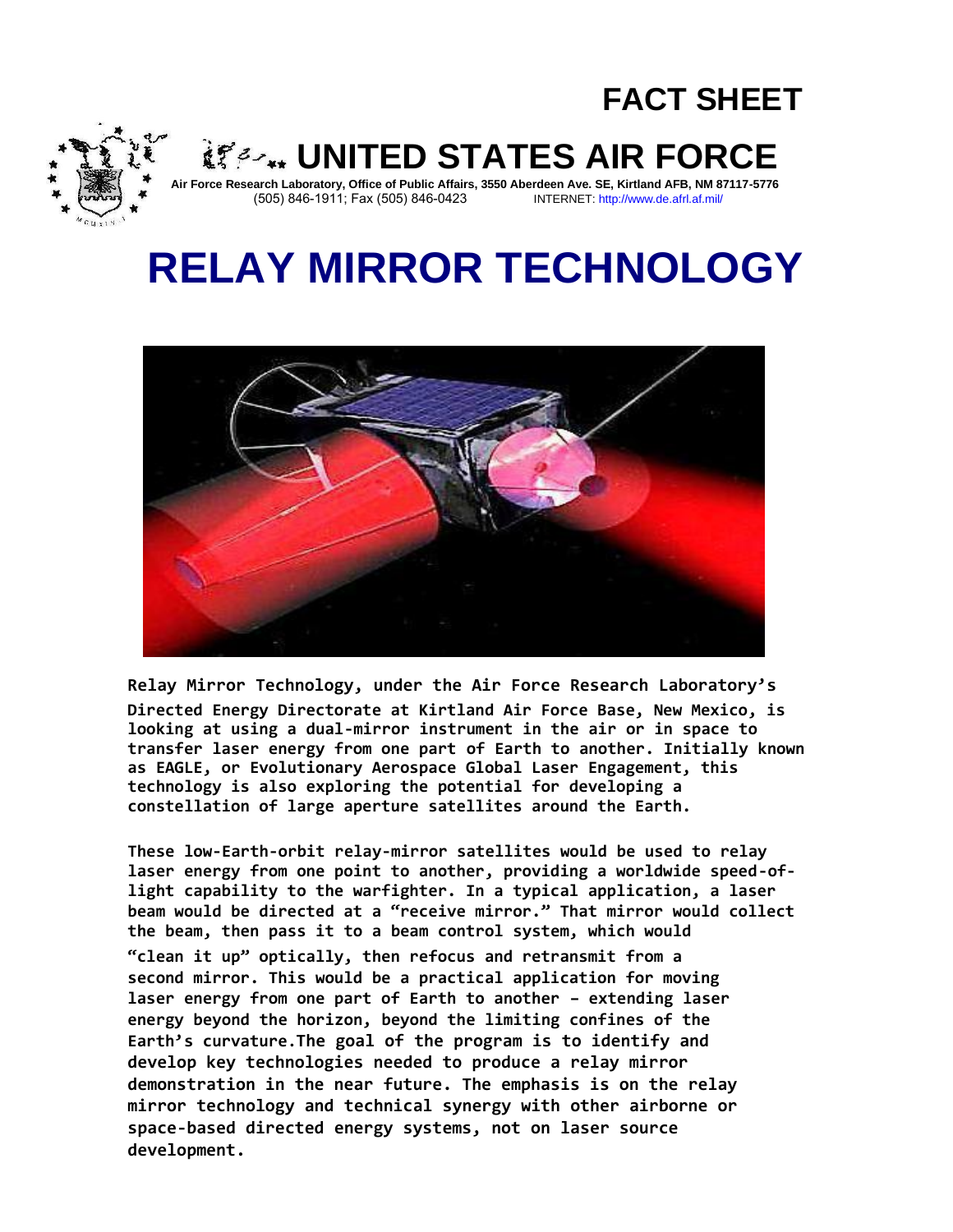## **FACT SHEET**



**UNITED STATES AIR FORCE** 

**Air Force Research Laboratory, Office of Public Affairs, 3550 Aberdeen Ave. SE, Kirtland AFB, NM 87117-5776** (505) 846-1911; Fax (505) 846-0423

# **RELAY MIRROR TECHNOLOGY**



**Relay Mirror Technology, under the Air Force Research Laboratory's Directed Energy Directorate at Kirtland Air Force Base, New Mexico, is looking at using a dual-mirror instrument in the air or in space to transfer laser energy from one part of Earth to another. Initially known as EAGLE, or Evolutionary Aerospace Global Laser Engagement, this technology is also exploring the potential for developing a constellation of large aperture satellites around the Earth.**

**These low-Earth-orbit relay-mirror satellites would be used to relay laser energy from one point to another, providing a worldwide speed-oflight capability to the warfighter. In a typical application, a laser beam would be directed at a "receive mirror." That mirror would collect the beam, then pass it to a beam control system, which would "clean it up" optically, then refocus and retransmit from a second mirror. This would be a practical application for moving laser energy from one part of Earth to another – extending laser energy beyond the horizon, beyond the limiting confines of the Earth's curvature.The goal of the program is to identify and develop key technologies needed to produce a relay mirror demonstration in the near future. The emphasis is on the relay mirror technology and technical synergy with other airborne or space-based directed energy systems, not on laser source development.**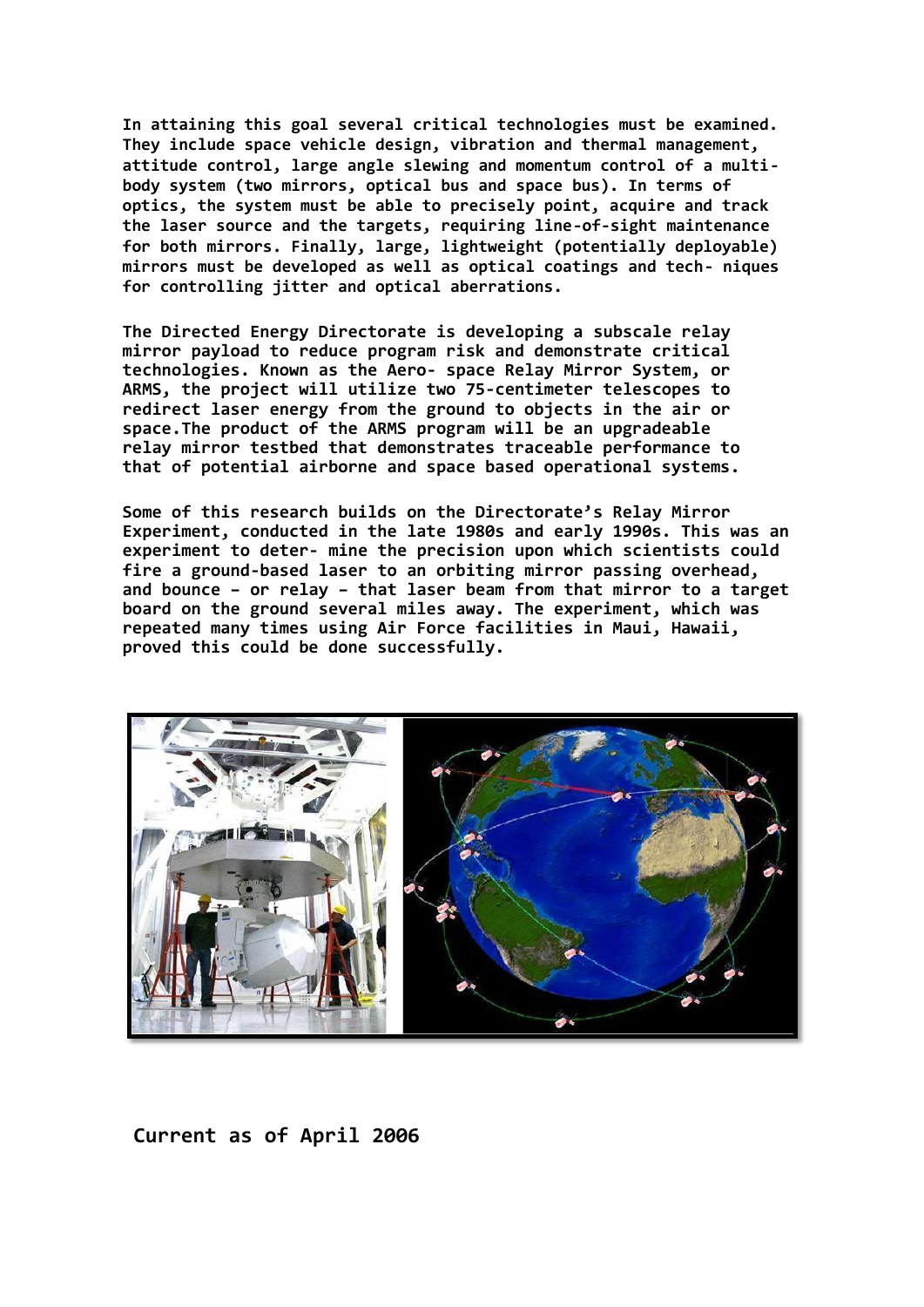**In attaining this goal several critical technologies must be examined. They include space vehicle design, vibration and thermal management, attitude control, large angle slewing and momentum control of a multibody system (two mirrors, optical bus and space bus). In terms of optics, the system must be able to precisely point, acquire and track the laser source and the targets, requiring line-of-sight maintenance for both mirrors. Finally, large, lightweight (potentially deployable) mirrors must be developed as well as optical coatings and tech- niques for controlling jitter and optical aberrations.**

**The Directed Energy Directorate is developing a subscale relay mirror payload to reduce program risk and demonstrate critical technologies. Known as the Aero- space Relay Mirror System, or ARMS, the project will utilize two 75-centimeter telescopes to redirect laser energy from the ground to objects in the air or space.The product of the ARMS program will be an upgradeable relay mirror testbed that demonstrates traceable performance to that of potential airborne and space based operational systems.**

**Some of this research builds on the Directorate's Relay Mirror Experiment, conducted in the late 1980s and early 1990s. This was an experiment to deter- mine the precision upon which scientists could fire a ground-based laser to an orbiting mirror passing overhead, and bounce – or relay – that laser beam from that mirror to a target board on the ground several miles away. The experiment, which was repeated many times using Air Force facilities in Maui, Hawaii, proved this could be done successfully.**



**Current as of April 2006**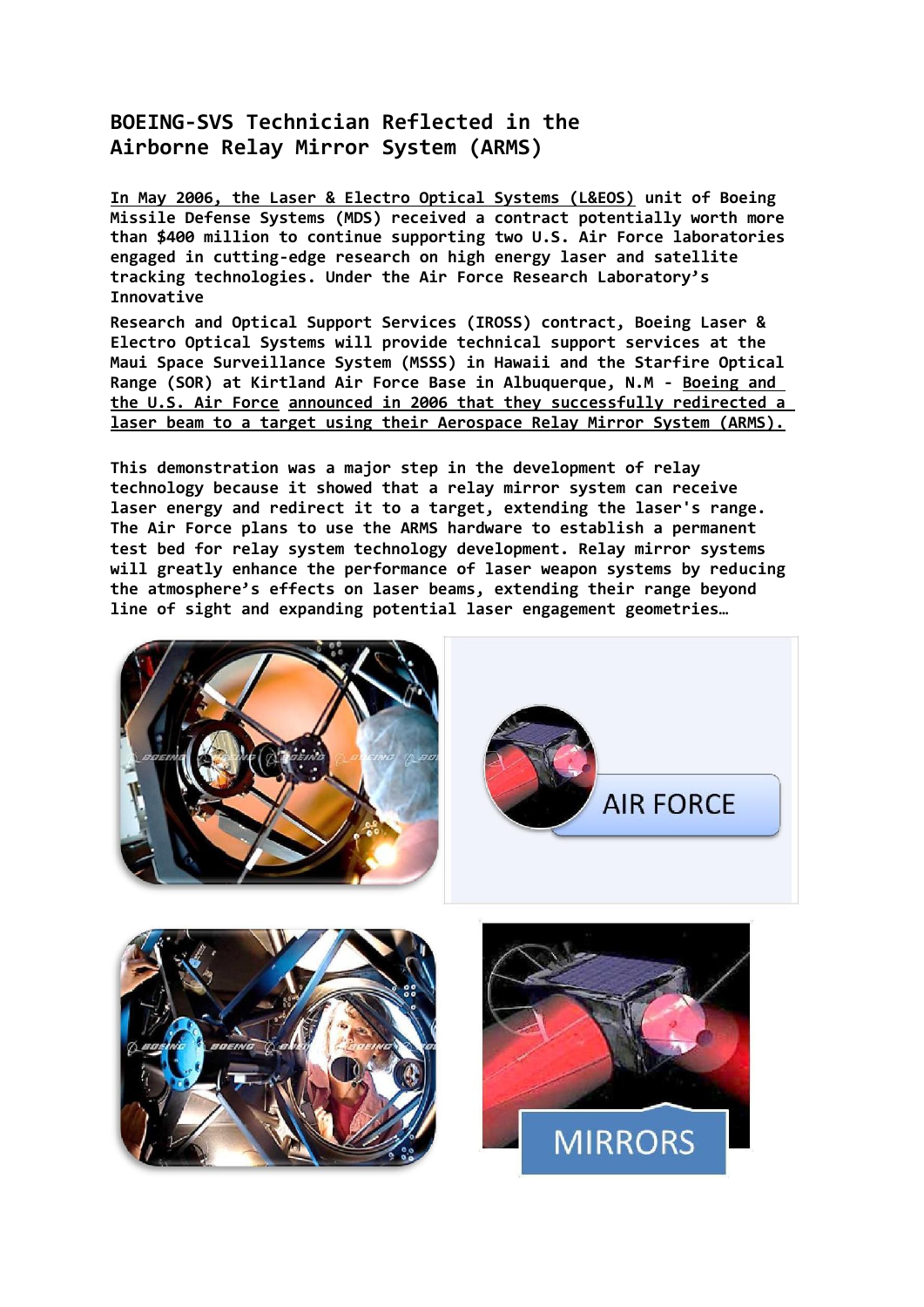#### **BOEING-SVS Technician Reflected in the Airborne Relay Mirror System (ARMS)**

**In May 2006, the Laser & Electro Optical Systems (L&EOS) unit of Boeing Missile Defense Systems (MDS) received a contract potentially worth more than \$400 million to continue supporting two U.S. Air Force laboratories engaged in cutting-edge research on high energy laser and satellite tracking technologies. Under the Air Force Research Laboratory's Innovative**

**Research and Optical Support Services (IROSS) contract, Boeing Laser & Electro Optical Systems will provide technical support services at the Maui Space Surveillance System (MSSS) in Hawaii and the Starfire Optical Range (SOR) at Kirtland Air Force Base in Albuquerque, N.M - Boeing and the U.S. Air Force announced in 2006 that they successfully redirected a laser beam to a target using their Aerospace Relay Mirror System (ARMS).**

**This demonstration was a major step in the development of relay technology because it showed that a relay mirror system can receive laser energy and redirect it to a target, extending the laser's range. The Air Force plans to use the ARMS hardware to establish a permanent test bed for relay system technology development. Relay mirror systems will greatly enhance the performance of laser weapon systems by reducing the atmosphere's effects on laser beams, extending their range beyond line of sight and expanding potential laser engagement geometries…**

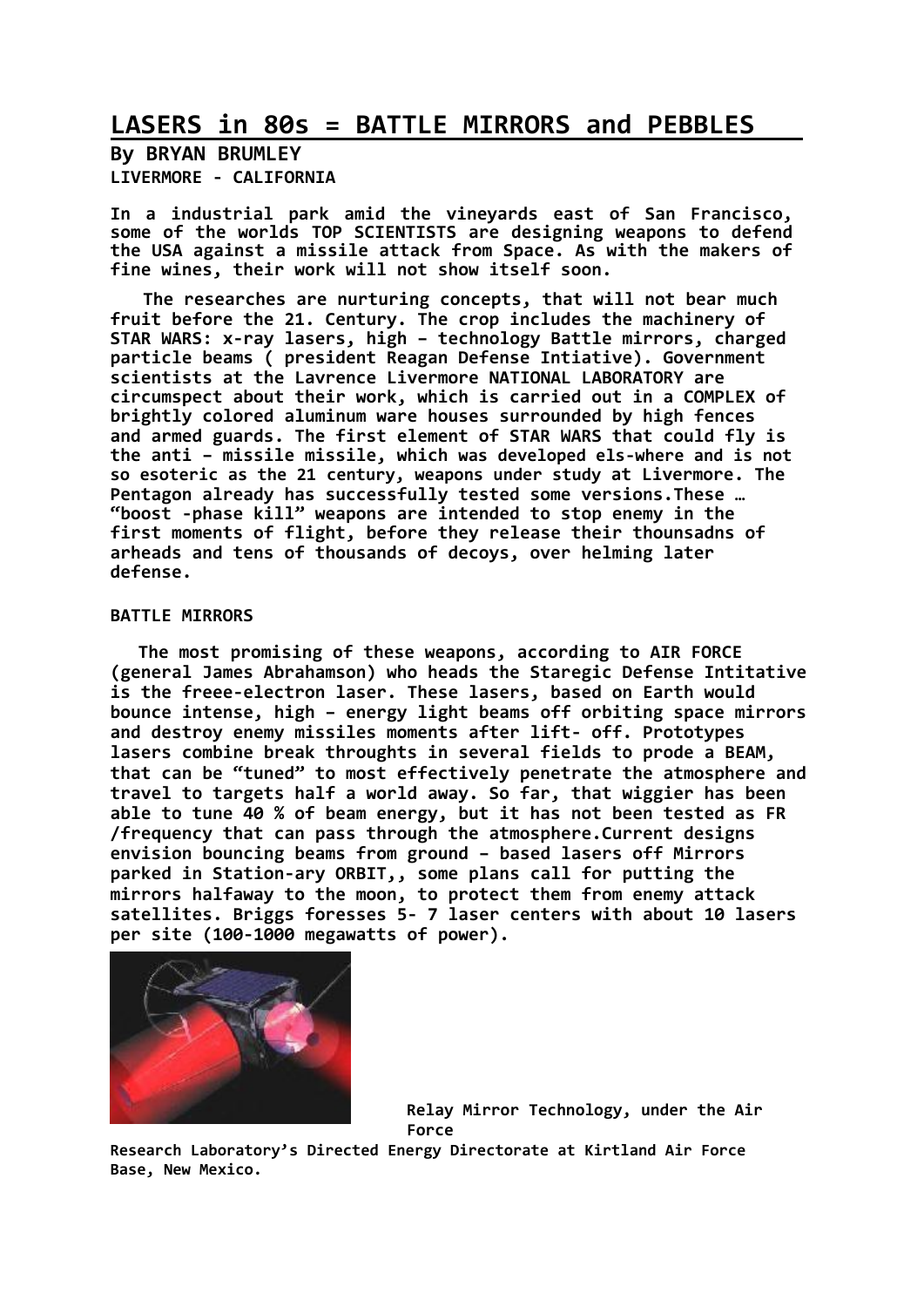## **LASERS in 80s = BATTLE MIRRORS and PEBBLES**

**By BRYAN BRUMLEY LIVERMORE - CALIFORNIA**

**In a industrial park amid the vineyards east of San Francisco, some of the worlds TOP SCIENTISTS are designing weapons to defend the USA against a missile attack from Space. As with the makers of fine wines, their work will not show itself soon.**

**The researches are nurturing concepts, that will not bear much fruit before the 21. Century. The crop includes the machinery of STAR WARS: x-ray lasers, high – technology Battle mirrors, charged particle beams ( president Reagan Defense Intiative). Government scientists at the Lavrence Livermore NATIONAL LABORATORY are circumspect about their work, which is carried out in a COMPLEX of brightly colored aluminum ware houses surrounded by high fences and armed guards. The first element of STAR WARS that could fly is the anti – missile missile, which was developed els-where and is not so esoteric as the 21 century, weapons under study at Livermore. The Pentagon already has successfully tested some versions.These … "boost -phase kill" weapons are intended to stop enemy in the first moments of flight, before they release their thounsadns of arheads and tens of thousands of decoys, over helming later defense.**

#### **BATTLE MIRRORS**

**The most promising of these weapons, according to AIR FORCE (general James Abrahamson) who heads the Staregic Defense Intitative is the freee-electron laser. These lasers, based on Earth would bounce intense, high – energy light beams off orbiting space mirrors and destroy enemy missiles moments after lift- off. Prototypes lasers combine break throughts in several fields to prode a BEAM, that can be "tuned" to most effectively penetrate the atmosphere and travel to targets half a world away. So far, that wiggier has been able to tune 40 % of beam energy, but it has not been tested as FR /frequency that can pass through the atmosphere.Current designs envision bouncing beams from ground – based lasers off Mirrors parked in Station-ary ORBIT,, some plans call for putting the mirrors halfaway to the moon, to protect them from enemy attack satellites. Briggs foresses 5- 7 laser centers with about 10 lasers per site (100-1000 megawatts of power).**



**Relay Mirror Technology, under the Air Force**

**Research Laboratory's Directed Energy Directorate at Kirtland Air Force Base, New Mexico.**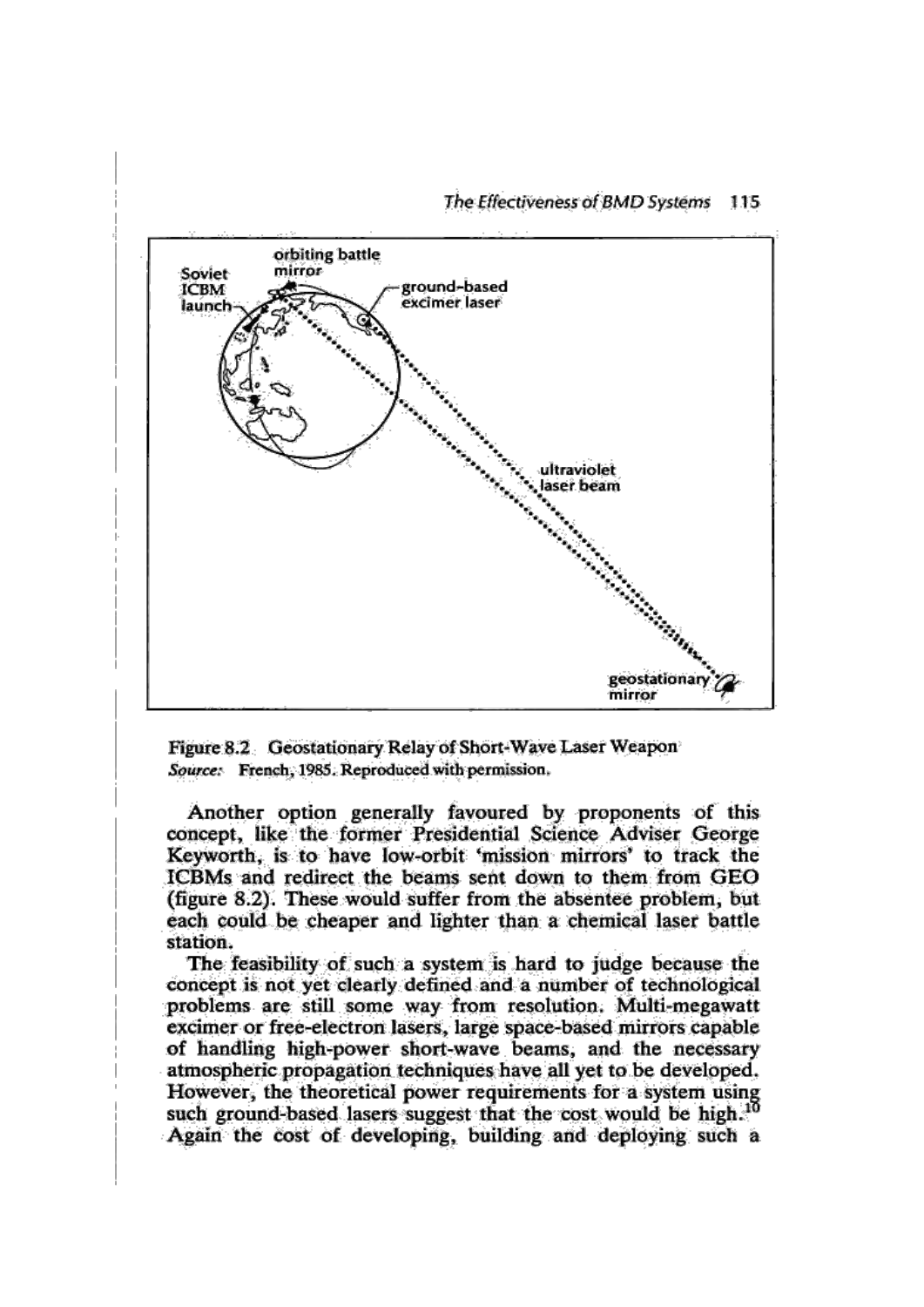

Figure 8.2 Geostationary Relay of Short-Wave Laser Weapon Source: French, 1985. Reproduced with permission.

Another option generally favoured by proponents of this concept, like the former Presidential Science Adviser George Keyworth, is to have low-orbit 'mission mirrors' to track the ICBMs and redirect the beams sent down to them from GEO (figure 8.2). These would suffer from the absentee problem, but each could be cheaper and lighter than a chemical laser battle station.

The feasibility of such a system is hard to judge because the concept is not yet clearly defined and a number of technological problems are still some way from resolution. Multi-megawatt excimer or free-electron lasers, large space-based mirrors capable of handling high-power short-wave beams, and the necessary atmospheric propagation techniques have all yet to be developed. However, the theoretical power requirements for a system using such ground-based lasers suggest that the cost would be high.<sup>10</sup> Again the cost of developing, building and deploying such a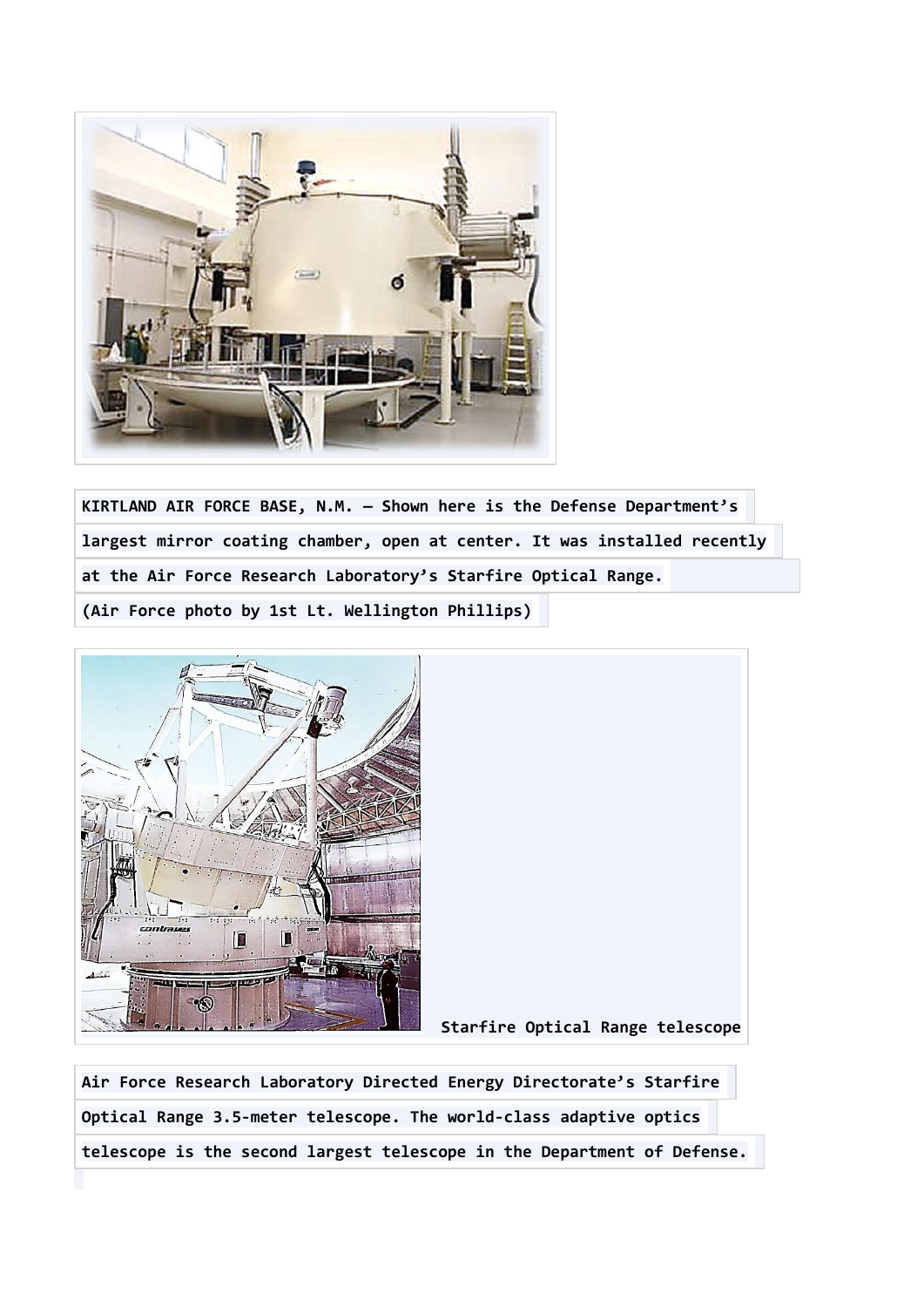

**KIRTLAND AIR FORCE BASE, N.M. — Shown here is the Defense Department's largest mirror coating chamber, open at center. It was installed recently at the Air Force Research Laboratory's Starfire Optical Range. (Air Force photo by 1st Lt. Wellington Phillips)**



 **Starfire Optical Range telescope**

**Air Force Research Laboratory Directed Energy Directorate's Starfire Optical Range 3.5-meter telescope. The world-class adaptive optics telescope is the second largest telescope in the Department of Defense.**